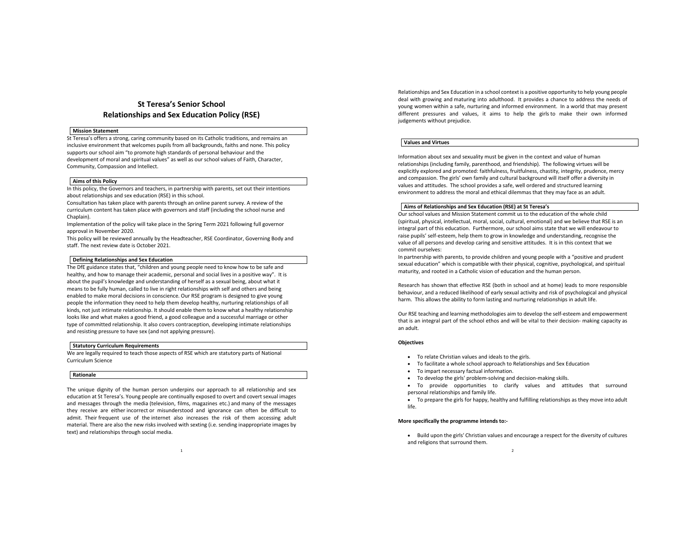# **St Teresa's Senior School Relationships and Sex Education Policy (RSE)**

#### **Mission Statement**

St Teresa's offers a strong, caring community based on its Catholic traditions, and remains an inclusive environment that welcomes pupils from all backgrounds, faiths and none. This policy supports our school aim "to promote high standards of personal behaviour and the development of moral and spiritual values" as well as our school values of Faith, Character, Community, Compassion and Intellect.

#### **Aims of this Policy**

In this policy, the Governors and teachers, in partnership with parents, set out their intentions about relationships and sex education (RSE) in this school.

Consultation has taken place with parents through an online parent survey. A review of the curriculum content has taken place with governors and staff (including the school nurse and Chaplain).

Implementation of the policy will take place in the Spring Term 2021 following full governor approval in November 2020.

This policy will be reviewed annually by the Headteacher, RSE Coordinator, Governing Body and staff. The next review date is October 2021.

## **Defining Relationships and Sex Education**

The DfE guidance states that, "children and young people need to know how to be safe and healthy, and how to manage their academic, personal and social lives in a positive way". It is about the pupil's knowledge and understanding of herself as a sexual being, about what it means to be fully human, called to live in right relationships with self and others and being enabled to make moral decisions in conscience. Our RSE program is designed to give young people the information they need to help them develop healthy, nurturing relationships of all kinds, not just intimate relationship. It should enable them to know what a healthy relationship looks like and what makes a good friend, a good colleague and a successful marriage or other type of committed relationship. It also covers contraception, developing intimate relationships and resisting pressure to have sex (and not applying pressure).

## **Statutory Curriculum Requirements**

We are legally required to teach those aspects of RSE which are statutory parts of National Curriculum Science

#### **Rationale**

The unique dignity of the human person underpins our approach to all relationship and sex education at St Teresa's. Young people are continually exposed to overt and covert sexual images and messages through the media (television, films, magazines etc.) and many of the messages they receive are either incorrect or misunderstood and ignorance can often be difficult to admit. Their frequent use of the internet also increases the risk of them accessing adult material. There are also the new risks involved with sexting (i.e. sending inappropriate images by text) and relationships through social media.

Relationships and Sex Education in a school context is a positive opportunity to help young people deal with growing and maturing into adulthood. It provides a chance to address the needs of young women within a safe, nurturing and informed environment. In a world that may present different pressures and values, it aims to help the girls to make their own informed judgements without prejudice.

#### **Values and Virtues**

Information about sex and sexuality must be given in the context and value of human relationships (including family, parenthood, and friendship). The following virtues will be explicitly explored and promoted: faithfulness, fruitfulness, chastity, integrity, prudence, mercy and compassion. The girls' own family and cultural background will itself offer a diversity in values and attitudes. The school provides a safe, well ordered and structured learning environment to address the moral and ethical dilemmas that they may face as an adult.

## **Aims of Relationships and Sex Education (RSE) at St Teresa's**

Our school values and Mission Statement commit us to the education of the whole child (spiritual, physical, intellectual, moral, social, cultural, emotional) and we believe that RSE is an integral part of this education. Furthermore, our school aims state that we will endeavour to raise pupils' self-esteem, help them to grow in knowledge and understanding, recognise the value of all persons and develop caring and sensitive attitudes. It is in this context that we commit ourselves:

In partnership with parents, to provide children and young people with a "positive and prudent sexual education" which is compatible with their physical, cognitive, psychological, and spiritual maturity, and rooted in a Catholic vision of education and the human person.

Research has shown that effective RSE (both in school and at home) leads to more responsible behaviour, and a reduced likelihood of early sexual activity and risk of psychological and physical harm. This allows the ability to form lasting and nurturing relationships in adult life.

Our RSE teaching and learning methodologies aim to develop the self-esteem and empowerment that is an integral part of the school ethos and will be vital to their decision- making capacity as an adult.

#### **Objectives**

- To relate Christian values and ideals to the girls.
- To facilitate a whole school approach to Relationships and Sex Education
- To impart necessary factual information.
- To develop the girls' problem-solving and decision-making skills.
- To provide opportunities to clarify values and attitudes that surround personal relationships and family life.
- To prepare the girls for happy, healthy and fulfilling relationships as they move into adult life.

#### **More specifically the programme intends to:-**

 $\overline{2}$ • Build upon the girls' Christian values and encourage a respect for the diversity of cultures and religions that surround them.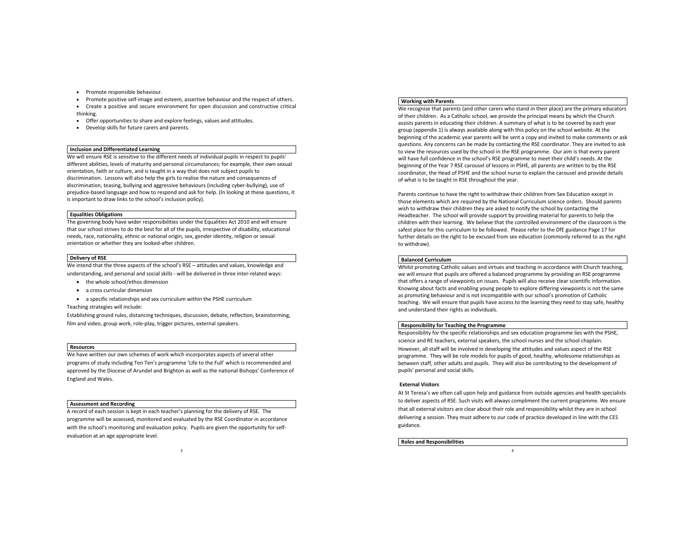- Promote responsible behaviour.
- Promote positive self-image and esteem, assertive behaviour and the respect of others.
- Create a positive and secure environment for open discussion and constructive critical thinking.
- Offer opportunities to share and explore feelings, values and attitudes.
- Develop skills for future carers and parents.

#### **Inclusion and Differentiated Learning**

We will ensure RSE is sensitive to the different needs of individual pupils in respect to pupils' different abilities, levels of maturity and personal circumstances; for example, their own sexual orientation, faith or culture, and is taught in a way that does not subject pupils to discrimination. Lessons will also help the girls to realise the nature and consequences of discrimination, teasing, bullying and aggressive behaviours (including cyber-bullying), use of prejudice-based language and how to respond and ask for help. (In looking at these questions, it is important to draw links to the school's inclusion policy).

## **Equalities Obligations**

The governing body have wider responsibilities under the Equalities Act 2010 and will ensure that our school strives to do the best for all of the pupils, irrespective of disability, educational needs, race, nationality, ethnic or national origin, sex, gender identity, religion or sexual orientation or whether they are looked-after children.

#### **Delivery of RSE**

We intend that the three aspects of the school's RSE - attitudes and values, knowledge and understanding, and personal and social skills - will be delivered in three inter-related ways:

- the whole school/ethos dimension
- a cross curricular dimension

• a specific relationships and sex curriculum within the PSHE curriculum

Teaching strategies will include:

Establishing ground rules, distancing techniques, discussion, debate, reflection, brainstorming, film and video, group work, role-play, trigger pictures, external speakers.

#### **Resources**

We have written our own schemes of work which incorporates aspects of several other programs of study including Ten Ten's programme 'Life to the Full' which is recommended and approved by the Diocese of Arundel and Brighton as well as the national Bishops' Conference of England and Wales.

## **Assessment and Recording**

A record of each session is kept in each teacher's planning for the delivery of RSE. The programme will be assessed, monitored and evaluated by the RSE Coordinator in accordance with the school's monitoring and evaluation policy. Pupils are given the opportunity for selfevaluation at an age appropriate level.

3

#### **Working with Parents**

We recognise that parents (and other carers who stand in their place) are the primary educators of their children. As a Catholic school, we provide the principal means by which the Church assists parents in educating their children. A summary of what is to be covered by each year group (appendix 1) is always available along with this policy on the school website. At the beginning of the academic year parents will be sent a copy and invited to make comments or ask questions. Any concerns can be made by contacting the RSE coordinator. They are invited to ask to view the resources used by the school in the RSE programme. Our aim is that every parent will have full confidence in the school's RSE programme to meet their child's needs. At the beginning of the Year 7 RSE carousel of lessons in PSHE, all parents are written to by the RSE coordinator, the Head of PSHE and the school nurse to explain the carousel and provide details of what is to be taught in RSE throughout the year.

Parents continue to have the right to withdraw their children from Sex Education except in those elements which are required by the National Curriculum science orders. Should parents wish to withdraw their children they are asked to notify the school by contacting the Headteacher. The school will provide support by providing material for parents to help the children with their learning. We believe that the controlled environment of the classroom is the safest place for this curriculum to be followed. Please refer to the DfE guidance Page 17 for further details on the right to be excused from sex education (commonly referred to as the right to withdraw).

#### **Balanced Curriculum**

Whilst promoting Catholic values and virtues and teaching in accordance with Church teaching, we will ensure that pupils are offered a balanced programme by providing an RSE programme that offers a range of viewpoints on issues. Pupils will also receive clear scientific information. Knowing about facts and enabling young people to explore differing viewpoints is not the same as promoting behaviour and is not incompatible with our school's promotion of Catholic teaching. We will ensure that pupils have access to the learning they need to stay safe, healthy and understand their rights as individuals.

### **Responsibility for Teaching the Programme**

Responsibility for the specific relationships and sex education programme lies with the PSHE, science and RE teachers, external speakers, the school nurses and the school chaplain.

However, all staff will be involved in developing the attitudes and values aspect of the RSE programme. They will be role models for pupils of good, healthy, wholesome relationships as between staff, other adults and pupils. They will also be contributing to the development of pupils' personal and social skills.

#### **External Visitors**

At St Teresa's we often call upon help and guidance from outside agencies and health specialists to deliver aspects of RSE. Such visits will always compliment the current programme. We ensure that all external visitors are clear about their role and responsibility whilst they are in school delivering a session. They must adhere to our code of practice developed in line with the CES guidance.

4

**Roles and Responsibilities**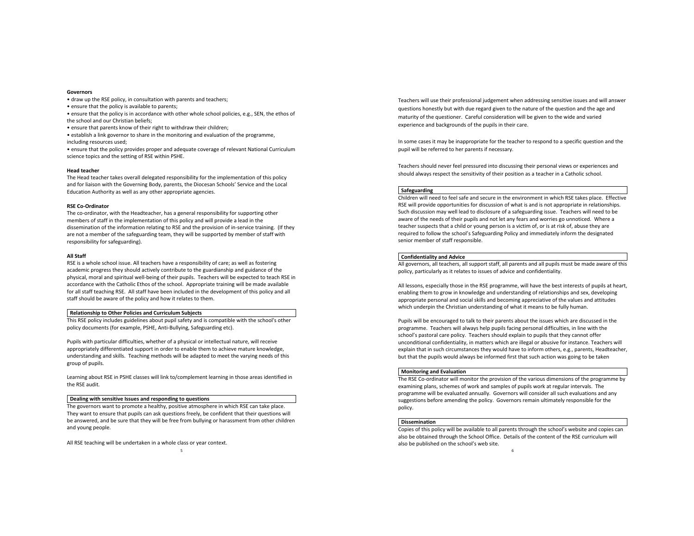#### **Governors**

- draw up the RSE policy, in consultation with parents and teachers;
- ensure that the policy is available to parents;
- ensure that the policy is in accordance with other whole school policies, e.g., SEN, the ethos of the school and our Christian beliefs;
- ensure that parents know of their right to withdraw their children;
- establish a link governor to share in the monitoring and evaluation of the programme, including resources used;
- ensure that the policy provides proper and adequate coverage of relevant National Curriculum science topics and the setting of RSE within PSHE.

#### **Head teacher**

The Head teacher takes overall delegated responsibility for the implementation of this policy and for liaison with the Governing Body, parents, the Diocesan Schools' Service and the Local Education Authority as well as any other appropriate agencies.

## **RSE Co-Ordinator**

The co-ordinator, with the Headteacher, has a general responsibility for supporting other members of staff in the implementation of this policy and will provide a lead in the dissemination of the information relating to RSE and the provision of in-service training. (If they are not a member of the safeguarding team, they will be supported by member of staff with responsibility for safeguarding).

### **All Staff**

RSE is a whole school issue. All teachers have a responsibility of care; as well as fostering academic progress they should actively contribute to the guardianship and guidance of the physical, moral and spiritual well-being of their pupils. Teachers will be expected to teach RSE in accordance with the Catholic Ethos of the school. Appropriate training will be made available for all staff teaching RSE. All staff have been included in the development of this policy and all staff should be aware of the policy and how it relates to them.

## **Relationship to Other Policies and Curriculum Subjects**

This RSE policy includes guidelines about pupil safety and is compatible with the school's other policy documents (for example, PSHE, Anti-Bullying, Safeguarding etc).

Pupils with particular difficulties, whether of a physical or intellectual nature, will receive appropriately differentiated support in order to enable them to achieve mature knowledge, understanding and skills. Teaching methods will be adapted to meet the varying needs of this group of pupils.

Learning about RSE in PSHE classes will link to/complement learning in those areas identified in the RSE audit.

## **Dealing with sensitive Issues and responding to questions**

The governors want to promote a healthy, positive atmosphere in which RSE can take place. They want to ensure that pupils can ask questions freely, be confident that their questions will be answered, and be sure that they will be free from bullying or harassment from other children and young people.

5

All RSE teaching will be undertaken in a whole class or year context.

Teachers will use their professional judgement when addressing sensitive issues and will answer questions honestly but with due regard given to the nature of the question and the age and maturity of the questioner. Careful consideration will be given to the wide and varied experience and backgrounds of the pupils in their care.

In some cases it may be inappropriate for the teacher to respond to a specific question and the pupil will be referred to her parents if necessary.

Teachers should never feel pressured into discussing their personal views or experiences and should always respect the sensitivity of their position as a teacher in a Catholic school.

#### **Safeguarding**

Children will need to feel safe and secure in the environment in which RSE takes place. Effective RSE will provide opportunities for discussion of what is and is not appropriate in relationships. Such discussion may well lead to disclosure of a safeguarding issue. Teachers will need to be aware of the needs of their pupils and not let any fears and worries go unnoticed. Where a teacher suspects that a child or young person is a victim of, or is at risk of, abuse they are required to follow the school's Safeguarding Policy and immediately inform the designated senior member of staff responsible.

## **Confidentiality and Advice**

All governors, all teachers, all support staff, all parents and all pupils must be made aware of this policy, particularly as it relates to issues of advice and confidentiality.

All lessons, especially those in the RSE programme, will have the best interests of pupils at heart, enabling them to grow in knowledge and understanding of relationships and sex, developing appropriate personal and social skills and becoming appreciative of the values and attitudes which underpin the Christian understanding of what it means to be fully human.

Pupils will be encouraged to talk to their parents about the issues which are discussed in the programme. Teachers will always help pupils facing personal difficulties, in line with the school's pastoral care policy. Teachers should explain to pupils that they cannot offer unconditional confidentiality, in matters which are illegal or abusive for instance. Teachers will explain that in such circumstances they would have to inform others, e.g., parents, Headteacher, but that the pupils would always be informed first that such action was going to be taken

## **Monitoring and Evaluation**

The RSE Co-ordinator will monitor the provision of the various dimensions of the programme by examining plans, schemes of work and samples of pupils work at regular intervals. The programme will be evaluated annually. Governors will consider all such evaluations and any suggestions before amending the policy. Governors remain ultimately responsible for the policy.

## **Dissemination**

6 Copies of this policy will be available to all parents through the school's website and copies can also be obtained through the School Office. Details of the content of the RSE curriculum will also be published on the school's web site.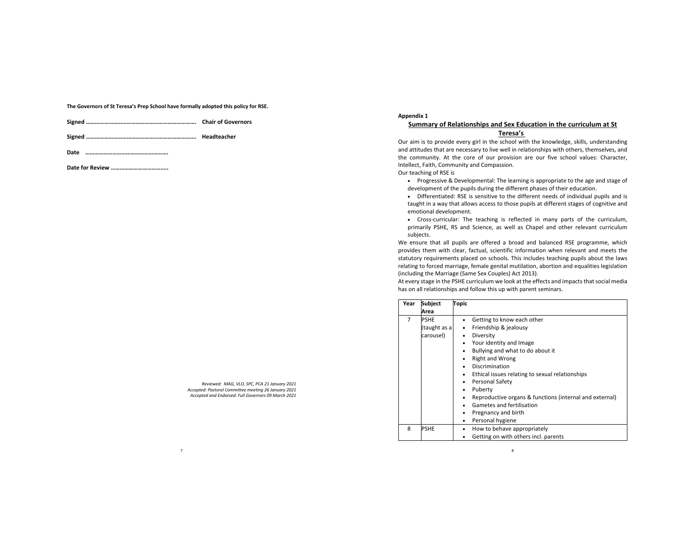**The Governors of St Teresa's Prep School have formally adopted this policy for RSE.** 

|  | <b>Chair of Governors</b> |
|--|---------------------------|
|--|---------------------------|

**Signed ………………………………………………………………. Headteacher**

**Date ……………………………………………….**

**Date for Review ………………………………..**

*Reviewed: MAG, VLO, SPC, PCA 21 January 2021 Accepted: Pastoral Committee meeting 26 January 2021 Accepted and Endorsed: Full Governors 09 March 2021*

7

## **Appendix 1**

# **Summary of Relationships and Sex Education in the curriculum at St Teresa's**

Our aim is to provide every girl in the school with the knowledge, skills, understanding and attitudes that are necessary to live well in relationships with others, themselves, and the community. At the core of our provision are our five school values: Character, Intellect, Faith, Community and Compassion.

Our teaching of RSE is

- Progressive & Developmental: The learning is appropriate to the age and stage of development of the pupils during the different phases of their education.
- Differentiated: RSE is sensitive to the different needs of individual pupils and is taught in a way that allows access to those pupils at different stages of cognitive and emotional development.
- Cross-curricular: The teaching is reflected in many parts of the curriculum, primarily PSHE, RS and Science, as well as Chapel and other relevant curriculum subjects.

We ensure that all pupils are offered a broad and balanced RSE programme, which provides them with clear, factual, scientific information when relevant and meets the statutory requirements placed on schools. This includes teaching pupils about the laws relating to forced marriage, female genital mutilation, abortion and equalities legislation (including the Marriage (Same Sex Couples) Act 2013).

At every stage in the PSHE curriculum we look at the effects and impacts that social media has on all relationships and follow this up with parent seminars.

| Year | <b>Subject</b> | <b>Topic</b> |                                                         |
|------|----------------|--------------|---------------------------------------------------------|
|      | Area           |              |                                                         |
| 7    | <b>PSHE</b>    |              | Getting to know each other                              |
|      | (taught as a   |              | Friendship & jealousy                                   |
|      | carousel)      |              | Diversity                                               |
|      |                |              | Your identity and Image                                 |
|      |                |              | Bullying and what to do about it                        |
|      |                |              | <b>Right and Wrong</b>                                  |
|      |                |              | Discrimination                                          |
|      |                |              | Ethical issues relating to sexual relationships         |
|      |                |              | Personal Safety                                         |
|      |                | ٠            | Puberty                                                 |
|      |                |              | Reproductive organs & functions (internal and external) |
|      |                |              | Gametes and fertilisation                               |
|      |                |              | Pregnancy and birth                                     |
|      |                | ٠            | Personal hygiene                                        |
| 8    | <b>PSHE</b>    |              | How to behave appropriately                             |
|      |                |              | Getting on with others incl. parents                    |